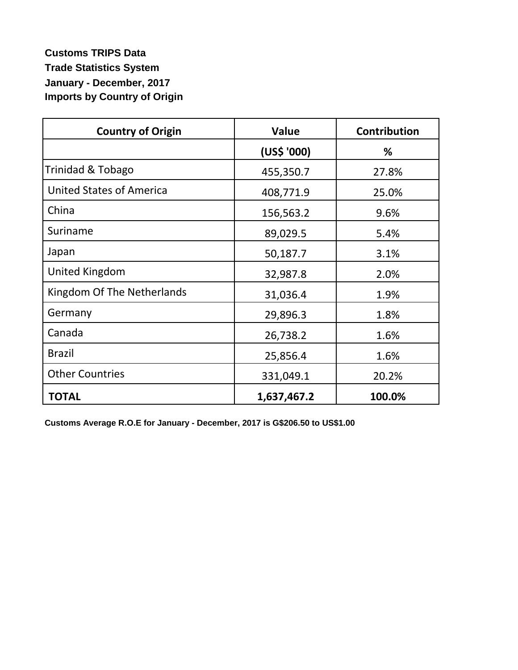## **Customs TRIPS Data Trade Statistics System January - December, 2017 Imports by Country of Origin**

| <b>Country of Origin</b>        | <b>Value</b> | <b>Contribution</b> |
|---------------------------------|--------------|---------------------|
|                                 | (US\$ '000)  | ℅                   |
| Trinidad & Tobago               | 455,350.7    | 27.8%               |
| <b>United States of America</b> | 408,771.9    | 25.0%               |
| China                           | 156,563.2    | 9.6%                |
| Suriname                        | 89,029.5     | 5.4%                |
| Japan                           | 50,187.7     | 3.1%                |
| United Kingdom                  | 32,987.8     | 2.0%                |
| Kingdom Of The Netherlands      | 31,036.4     | 1.9%                |
| Germany                         | 29,896.3     | 1.8%                |
| Canada                          | 26,738.2     | 1.6%                |
| <b>Brazil</b>                   | 25,856.4     | 1.6%                |
| <b>Other Countries</b>          | 331,049.1    | 20.2%               |
| <b>TOTAL</b>                    | 1,637,467.2  | 100.0%              |

**Customs Average R.O.E for January - December, 2017 is G\$206.50 to US\$1.00**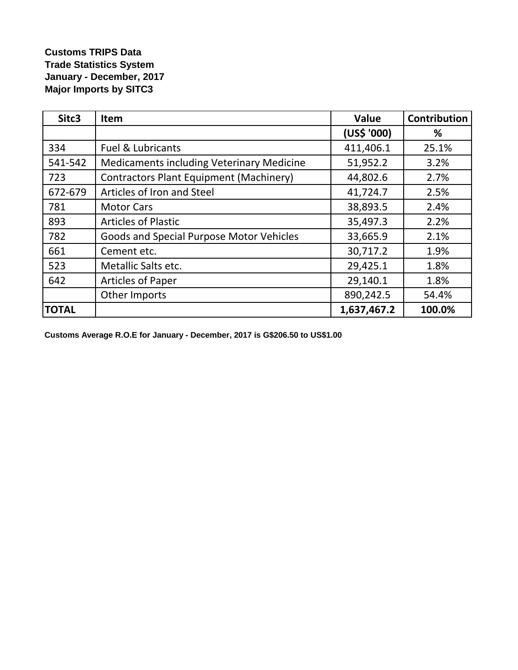## **Customs TRIPS Data Trade Statistics System January - December, 2017 Major Imports by SITC3**

| Sitc3        | Item                                             | Value       | <b>Contribution</b> |
|--------------|--------------------------------------------------|-------------|---------------------|
|              |                                                  | (US\$ '000) | %                   |
| 334          | <b>Fuel &amp; Lubricants</b>                     | 411,406.1   | 25.1%               |
| 541-542      | <b>Medicaments including Veterinary Medicine</b> | 51,952.2    | 3.2%                |
| 723          | <b>Contractors Plant Equipment (Machinery)</b>   | 44,802.6    | 2.7%                |
| 672-679      | Articles of Iron and Steel                       | 41,724.7    | 2.5%                |
| 781          | <b>Motor Cars</b>                                | 38,893.5    | 2.4%                |
| 893          | <b>Articles of Plastic</b>                       | 35,497.3    | 2.2%                |
| 782          | Goods and Special Purpose Motor Vehicles         | 33,665.9    | 2.1%                |
| 661          | Cement etc.                                      | 30,717.2    | 1.9%                |
| 523          | Metallic Salts etc.                              | 29,425.1    | 1.8%                |
| 642          | <b>Articles of Paper</b>                         | 29,140.1    | 1.8%                |
|              | Other Imports                                    | 890,242.5   | 54.4%               |
| <b>TOTAL</b> |                                                  | 1,637,467.2 | 100.0%              |

**Customs Average R.O.E for January - December, 2017 is G\$206.50 to US\$1.00**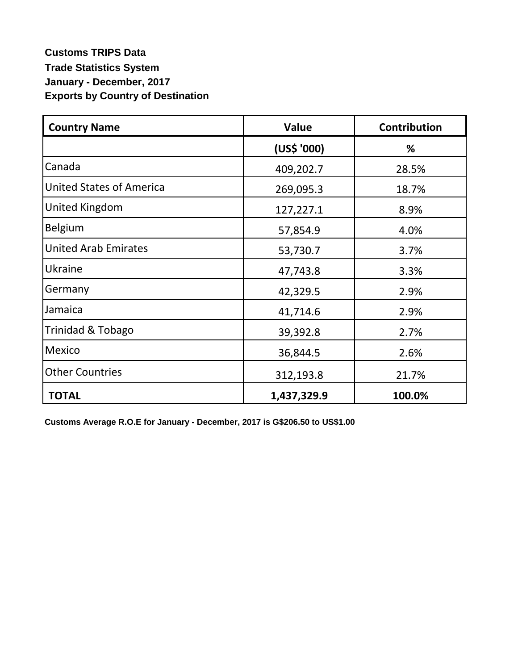## **Customs TRIPS Data Trade Statistics System January - December, 2017 Exports by Country of Destination**

| <b>Country Name</b>             | Value       | <b>Contribution</b> |
|---------------------------------|-------------|---------------------|
|                                 | (US\$ '000) | %                   |
| Canada                          | 409,202.7   | 28.5%               |
| <b>United States of America</b> | 269,095.3   | 18.7%               |
| United Kingdom                  | 127,227.1   | 8.9%                |
| Belgium                         | 57,854.9    | 4.0%                |
| <b>United Arab Emirates</b>     | 53,730.7    | 3.7%                |
| Ukraine                         | 47,743.8    | 3.3%                |
| Germany                         | 42,329.5    | 2.9%                |
| Jamaica                         | 41,714.6    | 2.9%                |
| Trinidad & Tobago               | 39,392.8    | 2.7%                |
| Mexico                          | 36,844.5    | 2.6%                |
| <b>Other Countries</b>          | 312,193.8   | 21.7%               |
| <b>TOTAL</b>                    | 1,437,329.9 | 100.0%              |

**Customs Average R.O.E for January - December, 2017 is G\$206.50 to US\$1.00**